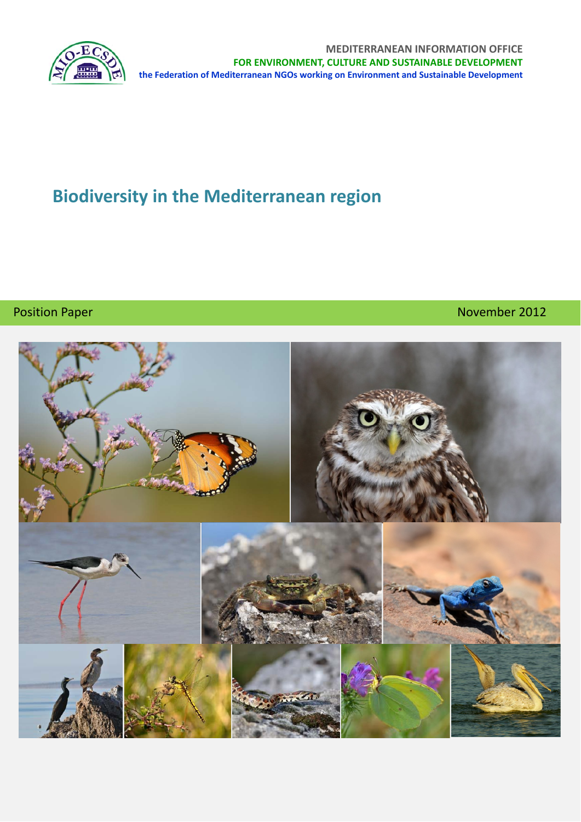

**MEDITERRANEAN INFORMATION OFFICE FOR ENVIRONMENT, CULTURE AND SUSTAINABLE DEVELOPMENT the Federation of Mediterranean NGOs working on Environment and Sustainable Development**

# **Biodiversity in the Mediterranean region**

# Position Paper **Machine Accord Contract Contract Contract Contract Contract Contract Contract Contract Contract Contract Contract Contract Contract Contract Contract Contract Contract Contract Contract Contract Contract Co**

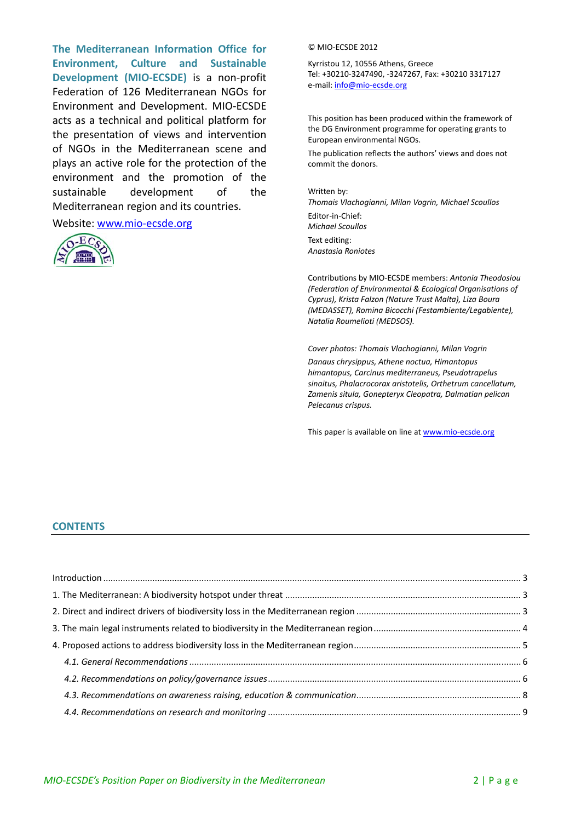**The Mediterranean Information Office for Environment, Culture and Sustainable Development (MIO‐ECSDE)** is a non‐profit Federation of 126 Mediterranean NGOs for Environment and Development. MIO‐ECSDE acts as a technical and political platform for the presentation of views and intervention of NGOs in the Mediterranean scene and plays an active role for the protection of the environment and the promotion of the sustainable development of the Mediterranean region and its countries.

#### Website: www.mio‐ecsde.org



#### © MIO‐ECSDE 2012

Kyrristou 12, 10556 Athens, Greece Tel: +30210‐3247490, ‐3247267, Fax: +30210 3317127 e‐mail: info@mio‐ecsde.org

This position has been produced within the framework of the DG Environment programme for operating grants to European environmental NGOs.

The publication reflects the authors' views and does not commit the donors.

#### Written by:

*Thomais Vlachogianni, Milan Vogrin, Michael Scoullos*

Editor‐in‐Chief: *Michael Scoullos* Text editing: *Anastasia Roniotes*

Contributions by MIO‐ECSDE members: *Antonia Theodosiou (Federation of Environmental & Ecological Organisations of Cyprus), Krista Falzon (Nature Trust Malta), Liza Boura (MEDASSET), Romina Bicocchi (Festambiente/Legabiente), Natalia Roumelioti (MEDSOS).*

*Cover photos: Thomais Vlachogianni, Milan Vogrin*

*Danaus chrysippus, Athene noctua, Himantopus himantopus, Carcinus mediterraneus, Pseudotrapelus sinaitus, Phalacrocorax aristotelis, Orthetrum cancellatum, Zamenis situla, Gonepteryx Cleopatra, Dalmatian pelican Pelecanus crispus.*

This paper is available on line at www.mio-ecsde.org

#### **CONTENTS**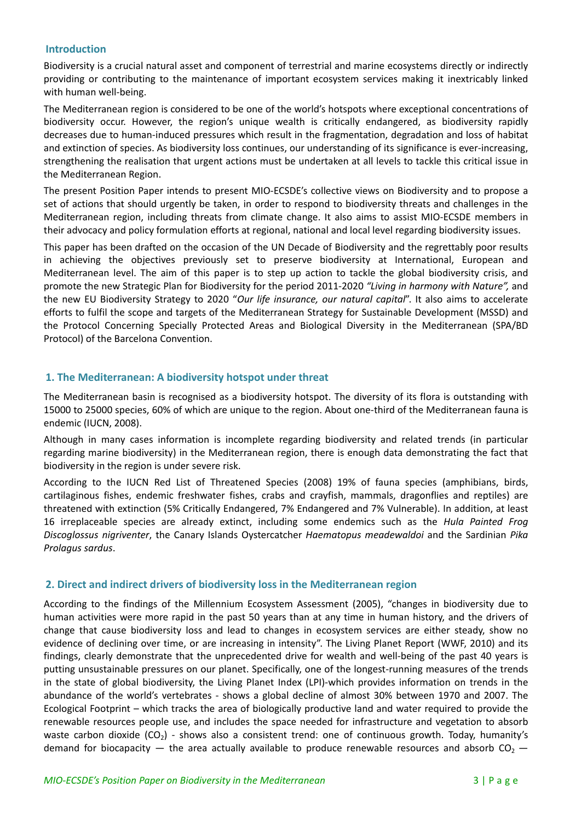#### **Introduction**

Biodiversity is a crucial natural asset and component of terrestrial and marine ecosystems directly or indirectly providing or contributing to the maintenance of important ecosystem services making it inextricably linked with human well-being.

The Mediterranean region is considered to be one of the world's hotspots where exceptional concentrations of biodiversity occur. However, the region's unique wealth is critically endangered, as biodiversity rapidly decreases due to human‐induced pressures which result in the fragmentation, degradation and loss of habitat and extinction of species. As biodiversity loss continues, our understanding of its significance is ever-increasing, strengthening the realisation that urgent actions must be undertaken at all levels to tackle this critical issue in the Mediterranean Region.

The present Position Paper intends to present MIO‐ECSDE's collective views on Biodiversity and to propose a set of actions that should urgently be taken, in order to respond to biodiversity threats and challenges in the Mediterranean region, including threats from climate change. It also aims to assist MIO‐ECSDE members in their advocacy and policy formulation efforts at regional, national and local level regarding biodiversity issues.

This paper has been drafted on the occasion of the UN Decade of Biodiversity and the regrettably poor results in achieving the objectives previously set to preserve biodiversity at International, European and Mediterranean level. The aim of this paper is to step up action to tackle the global biodiversity crisis, and promote the new Strategic Plan for Biodiversity for the period 2011‐2020 *"Living in harmony with Nature",* and the new EU Biodiversity Strategy to 2020 "*Our life insurance, our natural capital*". It also aims to accelerate efforts to fulfil the scope and targets of the Mediterranean Strategy for Sustainable Development (MSSD) and the Protocol Concerning Specially Protected Areas and Biological Diversity in the Mediterranean (SPA/BD Protocol) of the Barcelona Convention.

#### **1. The Mediterranean: A biodiversity hotspot under threat**

The Mediterranean basin is recognised as a biodiversity hotspot. The diversity of its flora is outstanding with 15000 to 25000 species, 60% of which are unique to the region. About one‐third of the Mediterranean fauna is endemic (IUCN, 2008).

Although in many cases information is incomplete regarding biodiversity and related trends (in particular regarding marine biodiversity) in the Mediterranean region, there is enough data demonstrating the fact that biodiversity in the region is under severe risk.

According to the IUCN Red List of Threatened Species (2008) 19% of fauna species (amphibians, birds, cartilaginous fishes, endemic freshwater fishes, crabs and crayfish, mammals, dragonflies and reptiles) are threatened with extinction (5% Critically Endangered, 7% Endangered and 7% Vulnerable). In addition, at least 16 irreplaceable species are already extinct, including some endemics such as the *Hula Painted Frog Discoglossus nigriventer*, the Canary Islands Oystercatcher *Haematopus meadewaldoi* and the Sardinian *Pika Prolagus sardus*.

#### **2. Direct and indirect drivers of biodiversity loss in the Mediterranean region**

According to the findings of the Millennium Ecosystem Assessment (2005), "changes in biodiversity due to human activities were more rapid in the past 50 years than at any time in human history, and the drivers of change that cause biodiversity loss and lead to changes in ecosystem services are either steady, show no evidence of declining over time, or are increasing in intensity". The Living Planet Report (WWF, 2010) and its findings, clearly demonstrate that the unprecedented drive for wealth and well-being of the past 40 years is putting unsustainable pressures on our planet. Specifically, one of the longest-running measures of the trends in the state of global biodiversity, the Living Planet Index (LPI)‐which provides information on trends in the abundance of the world's vertebrates ‐ shows a global decline of almost 30% between 1970 and 2007. The Ecological Footprint – which tracks the area of biologically productive land and water required to provide the renewable resources people use, and includes the space needed for infrastructure and vegetation to absorb waste carbon dioxide ( $CO<sub>2</sub>$ ) - shows also a consistent trend: one of continuous growth. Today, humanity's demand for biocapacity — the area actually available to produce renewable resources and absorb  $CO<sub>2</sub>$  —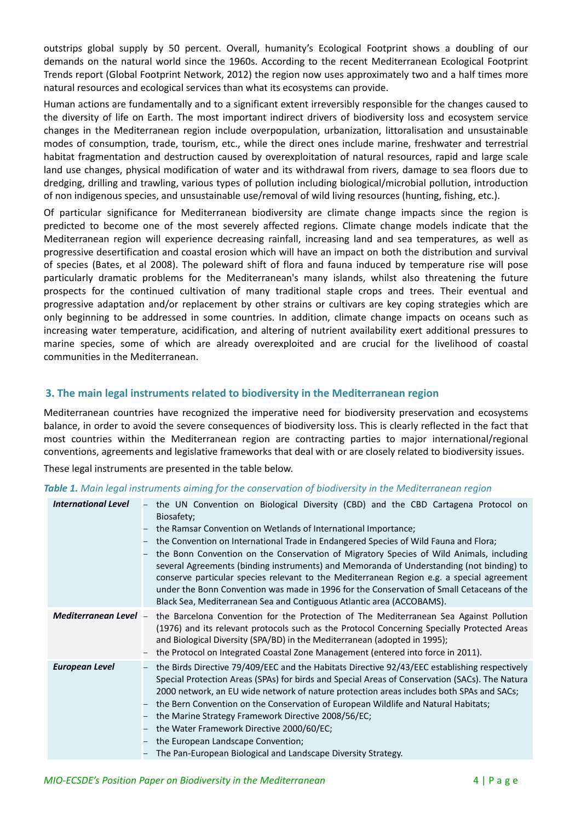outstrips global supply by 50 percent. Overall, humanity's Ecological Footprint shows a doubling of our demands on the natural world since the 1960s. According to the recent Mediterranean Ecological Footprint Trends report (Global Footprint Network, 2012) the region now uses approximately two and a half times more natural resources and ecological services than what its ecosystems can provide.

Human actions are fundamentally and to a significant extent irreversibly responsible for the changes caused to the diversity of life on Earth. The most important indirect drivers of biodiversity loss and ecosystem service changes in the Mediterranean region include overpopulation, urbanization, littoralisation and unsustainable modes of consumption, trade, tourism, etc., while the direct ones include marine, freshwater and terrestrial habitat fragmentation and destruction caused by overexploitation of natural resources, rapid and large scale land use changes, physical modification of water and its withdrawal from rivers, damage to sea floors due to dredging, drilling and trawling, various types of pollution including biological/microbial pollution, introduction of non indigenous species, and unsustainable use/removal of wild living resources (hunting, fishing, etc.).

Of particular significance for Mediterranean biodiversity are climate change impacts since the region is predicted to become one of the most severely affected regions. Climate change models indicate that the Mediterranean region will experience decreasing rainfall, increasing land and sea temperatures, as well as progressive desertification and coastal erosion which will have an impact on both the distribution and survival of species (Bates, et al 2008). The poleward shift of flora and fauna induced by temperature rise will pose particularly dramatic problems for the Mediterranean's many islands, whilst also threatening the future prospects for the continued cultivation of many traditional staple crops and trees. Their eventual and progressive adaptation and/or replacement by other strains or cultivars are key coping strategies which are only beginning to be addressed in some countries. In addition, climate change impacts on oceans such as increasing water temperature, acidification, and altering of nutrient availability exert additional pressures to marine species, some of which are already overexploited and are crucial for the livelihood of coastal communities in the Mediterranean.

#### **3. The main legal instruments related to biodiversity in the Mediterranean region**

Mediterranean countries have recognized the imperative need for biodiversity preservation and ecosystems balance, in order to avoid the severe consequences of biodiversity loss. This is clearly reflected in the fact that most countries within the Mediterranean region are contracting parties to major international/regional conventions, agreements and legislative frameworks that deal with or are closely related to biodiversity issues.

These legal instruments are presented in the table below.

#### *Table 1. Main legal instruments aiming for the conservation of biodiversity in the Mediterranean region*

| <b>International Level</b> | - the UN Convention on Biological Diversity (CBD) and the CBD Cartagena Protocol on<br>Biosafety;<br>the Ramsar Convention on Wetlands of International Importance;<br>the Convention on International Trade in Endangered Species of Wild Fauna and Flora;<br>the Bonn Convention on the Conservation of Migratory Species of Wild Animals, including<br>several Agreements (binding instruments) and Memoranda of Understanding (not binding) to<br>conserve particular species relevant to the Mediterranean Region e.g. a special agreement<br>under the Bonn Convention was made in 1996 for the Conservation of Small Cetaceans of the<br>Black Sea, Mediterranean Sea and Contiguous Atlantic area (ACCOBAMS). |
|----------------------------|-----------------------------------------------------------------------------------------------------------------------------------------------------------------------------------------------------------------------------------------------------------------------------------------------------------------------------------------------------------------------------------------------------------------------------------------------------------------------------------------------------------------------------------------------------------------------------------------------------------------------------------------------------------------------------------------------------------------------|
| Mediterranean Level -      | the Barcelona Convention for the Protection of The Mediterranean Sea Against Pollution<br>(1976) and its relevant protocols such as the Protocol Concerning Specially Protected Areas<br>and Biological Diversity (SPA/BD) in the Mediterranean (adopted in 1995);<br>the Protocol on Integrated Coastal Zone Management (entered into force in 2011).                                                                                                                                                                                                                                                                                                                                                                |
| <b>European Level</b>      | the Birds Directive 79/409/EEC and the Habitats Directive 92/43/EEC establishing respectively<br>Special Protection Areas (SPAs) for birds and Special Areas of Conservation (SACs). The Natura<br>2000 network, an EU wide network of nature protection areas includes both SPAs and SACs;<br>the Bern Convention on the Conservation of European Wildlife and Natural Habitats;<br>the Marine Strategy Framework Directive 2008/56/EC;<br>the Water Framework Directive 2000/60/EC;<br>the European Landscape Convention;<br>- The Pan-European Biological and Landscape Diversity Strategy.                                                                                                                        |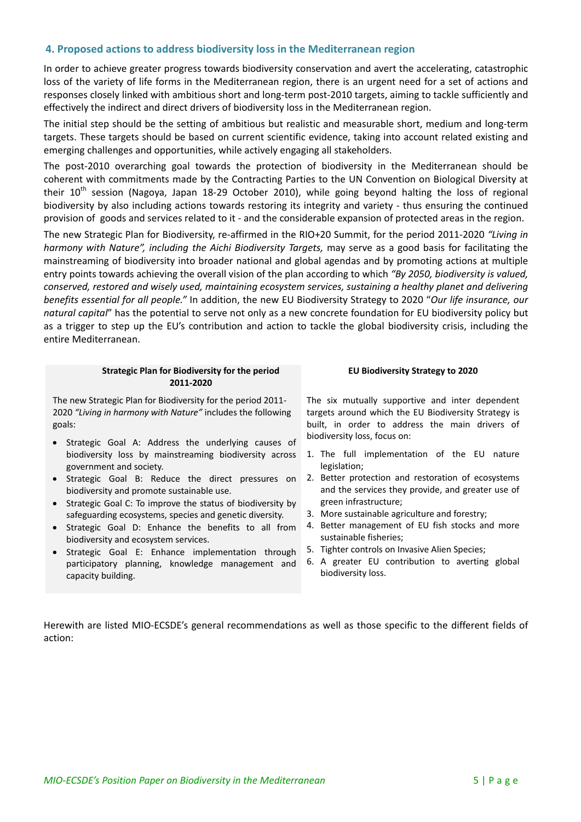#### **4. Proposed actions to address biodiversity loss in the Mediterranean region**

In order to achieve greater progress towards biodiversity conservation and avert the accelerating, catastrophic loss of the variety of life forms in the Mediterranean region, there is an urgent need for a set of actions and responses closely linked with ambitious short and long-term post-2010 targets, aiming to tackle sufficiently and effectively the indirect and direct drivers of biodiversity loss in the Mediterranean region.

The initial step should be the setting of ambitious but realistic and measurable short, medium and long‐term targets. These targets should be based on current scientific evidence, taking into account related existing and emerging challenges and opportunities, while actively engaging all stakeholders.

The post-2010 overarching goal towards the protection of biodiversity in the Mediterranean should be coherent with commitments made by the Contracting Parties to the UN Convention on Biological Diversity at their  $10^{th}$  session (Nagoya, Japan 18-29 October 2010), while going beyond halting the loss of regional biodiversity by also including actions towards restoring its integrity and variety ‐ thus ensuring the continued provision of goods and services related to it ‐ and the considerable expansion of protected areas in the region.

The new Strategic Plan for Biodiversity, re‐affirmed in the RIO+20 Summit, for the period 2011‐2020 *"Living in harmony with Nature", including the Aichi Biodiversity Targets,* may serve as a good basis for facilitating the mainstreaming of biodiversity into broader national and global agendas and by promoting actions at multiple entry points towards achieving the overall vision of the plan according to which *"By 2050, biodiversity is valued, conserved, restored and wisely used, maintaining ecosystem services, sustaining a healthy planet and delivering benefits essential for all people."* In addition, the new EU Biodiversity Strategy to 2020 "*Our life insurance, our natural capital*" has the potential to serve not only as a new concrete foundation for EU biodiversity policy but as a trigger to step up the EU's contribution and action to tackle the global biodiversity crisis, including the entire Mediterranean.

#### **Strategic Plan for Biodiversity for the period 2011‐2020**

The new Strategic Plan for Biodiversity for the period 2011‐ 2020 *"Living in harmony with Nature"* includes the following goals:

- Strategic Goal A: Address the underlying causes of biodiversity loss by mainstreaming biodiversity across government and society.
- Strategic Goal B: Reduce the direct pressures on biodiversity and promote sustainable use.
- Strategic Goal C: To improve the status of biodiversity by safeguarding ecosystems, species and genetic diversity.
- Strategic Goal D: Enhance the benefits to all from biodiversity and ecosystem services.
- Strategic Goal E: Enhance implementation through participatory planning, knowledge management and capacity building.

#### **EU Biodiversity Strategy to 2020**

The six mutually supportive and inter dependent targets around which the EU Biodiversity Strategy is built, in order to address the main drivers of biodiversity loss, focus on:

- 1. The full implementation of the EU nature legislation;
- 2. Better protection and restoration of ecosystems and the services they provide, and greater use of green infrastructure;
- 3. More sustainable agriculture and forestry;
- 4. Better management of EU fish stocks and more sustainable fisheries;
- 5. Tighter controls on Invasive Alien Species;
- 6. A greater EU contribution to averting global biodiversity loss.

Herewith are listed MIO‐ECSDE's general recommendations as well as those specific to the different fields of action: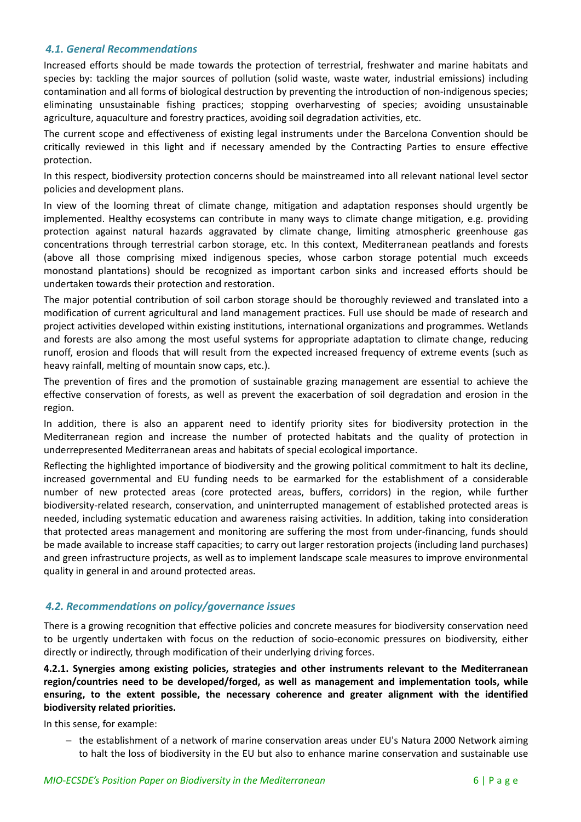### *4.1. General Recommendations*

Increased efforts should be made towards the protection of terrestrial, freshwater and marine habitats and species by: tackling the major sources of pollution (solid waste, waste water, industrial emissions) including contamination and all forms of biological destruction by preventing the introduction of non‐indigenous species; eliminating unsustainable fishing practices; stopping overharvesting of species; avoiding unsustainable agriculture, aquaculture and forestry practices, avoiding soil degradation activities, etc.

The current scope and effectiveness of existing legal instruments under the Barcelona Convention should be critically reviewed in this light and if necessary amended by the Contracting Parties to ensure effective protection.

In this respect, biodiversity protection concerns should be mainstreamed into all relevant national level sector policies and development plans.

In view of the looming threat of climate change, mitigation and adaptation responses should urgently be implemented. Healthy ecosystems can contribute in many ways to climate change mitigation, e.g. providing protection against natural hazards aggravated by climate change, limiting atmospheric greenhouse gas concentrations through terrestrial carbon storage, etc. In this context, Mediterranean peatlands and forests (above all those comprising mixed indigenous species, whose carbon storage potential much exceeds monostand plantations) should be recognized as important carbon sinks and increased efforts should be undertaken towards their protection and restoration.

The major potential contribution of soil carbon storage should be thoroughly reviewed and translated into a modification of current agricultural and land management practices. Full use should be made of research and project activities developed within existing institutions, international organizations and programmes. Wetlands and forests are also among the most useful systems for appropriate adaptation to climate change, reducing runoff, erosion and floods that will result from the expected increased frequency of extreme events (such as heavy rainfall, melting of mountain snow caps, etc.).

The prevention of fires and the promotion of sustainable grazing management are essential to achieve the effective conservation of forests, as well as prevent the exacerbation of soil degradation and erosion in the region.

In addition, there is also an apparent need to identify priority sites for biodiversity protection in the Mediterranean region and increase the number of protected habitats and the quality of protection in underrepresented Mediterranean areas and habitats of special ecological importance.

Reflecting the highlighted importance of biodiversity and the growing political commitment to halt its decline, increased governmental and EU funding needs to be earmarked for the establishment of a considerable number of new protected areas (core protected areas, buffers, corridors) in the region, while further biodiversity-related research, conservation, and uninterrupted management of established protected areas is needed, including systematic education and awareness raising activities. In addition, taking into consideration that protected areas management and monitoring are suffering the most from under‐financing, funds should be made available to increase staff capacities; to carry out larger restoration projects (including land purchases) and green infrastructure projects, as well as to implement landscape scale measures to improve environmental quality in general in and around protected areas.

#### *4.2. Recommendations on policy/governance issues*

There is a growing recognition that effective policies and concrete measures for biodiversity conservation need to be urgently undertaken with focus on the reduction of socio-economic pressures on biodiversity, either directly or indirectly, through modification of their underlying driving forces.

**4.2.1. Synergies among existing policies, strategies and other instruments relevant to the Mediterranean region/countries need to be developed/forged, as well as management and implementation tools, while ensuring, to the extent possible, the necessary coherence and greater alignment with the identified biodiversity related priorities.**

In this sense, for example:

− the establishment of a network of marine conservation areas under EU's Natura 2000 Network aiming to halt the loss of biodiversity in the EU but also to enhance marine conservation and sustainable use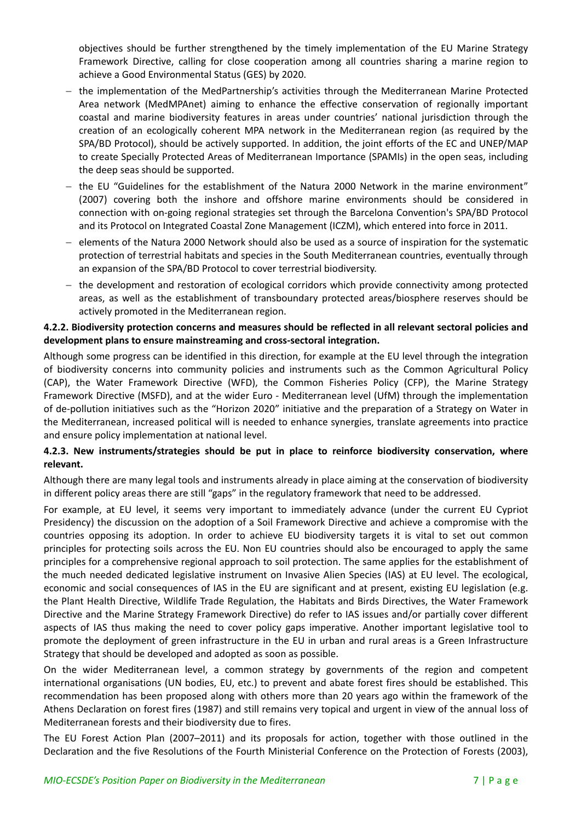objectives should be further strengthened by the timely implementation of the EU Marine Strategy Framework Directive, calling for close cooperation among all countries sharing a marine region to achieve a Good Environmental Status (GES) by 2020.

- − the implementation of the MedPartnership's activities through the Mediterranean Marine Protected Area network (MedMPAnet) aiming to enhance the effective conservation of regionally important coastal and marine biodiversity features in areas under countries' national jurisdiction through the creation of an ecologically coherent MPA network in the Mediterranean region (as required by the SPA/BD Protocol), should be actively supported. In addition, the joint efforts of the EC and UNEP/MAP to create Specially Protected Areas of Mediterranean Importance (SPAMIs) in the open seas, including the deep seas should be supported.
- − the EU "Guidelines for the establishment of the Natura 2000 Network in the marine environment" (2007) covering both the inshore and offshore marine environments should be considered in connection with on‐going regional strategies set through the Barcelona Convention's SPA/BD Protocol and its Protocol on Integrated Coastal Zone Management (ICZM), which entered into force in 2011.
- − elements of the Natura 2000 Network should also be used as a source of inspiration for the systematic protection of terrestrial habitats and species in the South Mediterranean countries, eventually through an expansion of the SPA/BD Protocol to cover terrestrial biodiversity.
- − the development and restoration of ecological corridors which provide connectivity among protected areas, as well as the establishment of transboundary protected areas/biosphere reserves should be actively promoted in the Mediterranean region.

# **4.2.2. Biodiversity protection concerns and measures should be reflected in all relevant sectoral policies and development plans to ensure mainstreaming and cross‐sectoral integration.**

Although some progress can be identified in this direction, for example at the EU level through the integration of biodiversity concerns into community policies and instruments such as the Common Agricultural Policy (CAP), the Water Framework Directive (WFD), the Common Fisheries Policy (CFP), the Marine Strategy Framework Directive (MSFD), and at the wider Euro ‐ Mediterranean level (UfM) through the implementation of de‐pollution initiatives such as the "Horizon 2020" initiative and the preparation of a Strategy on Water in the Mediterranean, increased political will is needed to enhance synergies, translate agreements into practice and ensure policy implementation at national level.

# **4.2.3. New instruments/strategies should be put in place to reinforce biodiversity conservation, where relevant.**

Although there are many legal tools and instruments already in place aiming at the conservation of biodiversity in different policy areas there are still "gaps" in the regulatory framework that need to be addressed.

For example, at EU level, it seems very important to immediately advance (under the current EU Cypriot Presidency) the discussion on the adoption of a Soil Framework Directive and achieve a compromise with the countries opposing its adoption. In order to achieve EU biodiversity targets it is vital to set out common principles for protecting soils across the EU. Non EU countries should also be encouraged to apply the same principles for a comprehensive regional approach to soil protection. The same applies for the establishment of the much needed dedicated legislative instrument on Invasive Alien Species (IAS) at EU level. The ecological, economic and social consequences of IAS in the EU are significant and at present, existing EU legislation (e.g. the Plant Health Directive, Wildlife Trade Regulation, the Habitats and Birds Directives, the Water Framework Directive and the Marine Strategy Framework Directive) do refer to IAS issues and/or partially cover different aspects of IAS thus making the need to cover policy gaps imperative. Another important legislative tool to promote the deployment of green infrastructure in the EU in urban and rural areas is a Green Infrastructure Strategy that should be developed and adopted as soon as possible.

On the wider Mediterranean level, a common strategy by governments of the region and competent international organisations (UN bodies, EU, etc.) to prevent and abate forest fires should be established. This recommendation has been proposed along with others more than 20 years ago within the framework of the Athens Declaration on forest fires (1987) and still remains very topical and urgent in view of the annual loss of Mediterranean forests and their biodiversity due to fires.

The EU Forest Action Plan (2007–2011) and its proposals for action, together with those outlined in the Declaration and the five Resolutions of the Fourth Ministerial Conference on the Protection of Forests (2003),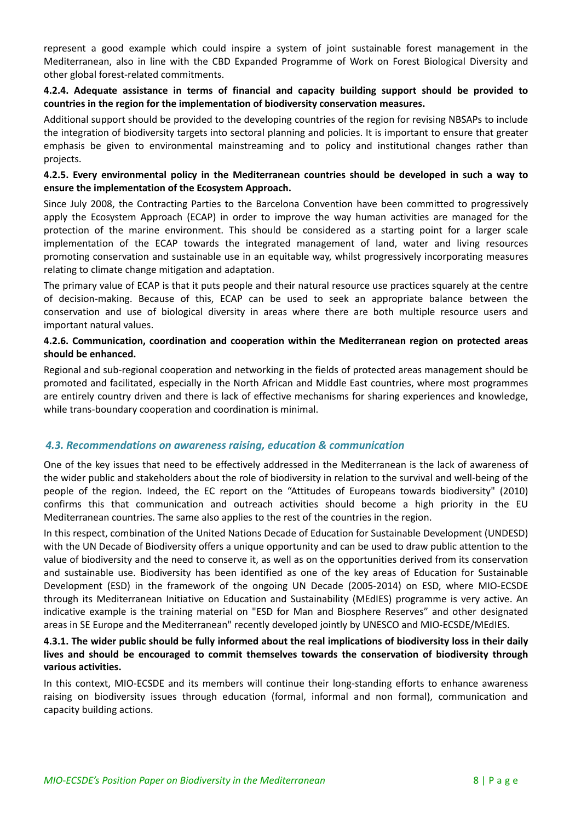represent a good example which could inspire a system of joint sustainable forest management in the Mediterranean, also in line with the CBD Expanded Programme of Work on Forest Biological Diversity and other global forest‐related commitments.

#### **4.2.4. Adequate assistance in terms of financial and capacity building support should be provided to countries in the region for the implementation of biodiversity conservation measures.**

Additional support should be provided to the developing countries of the region for revising NBSAPs to include the integration of biodiversity targets into sectoral planning and policies. It is important to ensure that greater emphasis be given to environmental mainstreaming and to policy and institutional changes rather than projects.

#### **4.2.5. Every environmental policy in the Mediterranean countries should be developed in such a way to ensure the implementation of the Ecosystem Approach.**

Since July 2008, the Contracting Parties to the Barcelona Convention have been committed to progressively apply the Ecosystem Approach (ECAP) in order to improve the way human activities are managed for the protection of the marine environment. This should be considered as a starting point for a larger scale implementation of the ECAP towards the integrated management of land, water and living resources promoting conservation and sustainable use in an equitable way, whilst progressively incorporating measures relating to climate change mitigation and adaptation.

The primary value of ECAP is that it puts people and their natural resource use practices squarely at the centre of decision-making. Because of this, ECAP can be used to seek an appropriate balance between the conservation and use of biological diversity in areas where there are both multiple resource users and important natural values.

#### **4.2.6. Communication, coordination and cooperation within the Mediterranean region on protected areas should be enhanced.**

Regional and sub‐regional cooperation and networking in the fields of protected areas management should be promoted and facilitated, especially in the North African and Middle East countries, where most programmes are entirely country driven and there is lack of effective mechanisms for sharing experiences and knowledge, while trans-boundary cooperation and coordination is minimal.

#### *4.3. Recommendations on awareness raising, education & communication*

One of the key issues that need to be effectively addressed in the Mediterranean is the lack of awareness of the wider public and stakeholders about the role of biodiversity in relation to the survival and well‐being of the people of the region. Indeed, the EC report on the "Attitudes of Europeans towards biodiversity" (2010) confirms this that communication and outreach activities should become a high priority in the EU Mediterranean countries. The same also applies to the rest of the countries in the region.

In this respect, combination of the United Nations Decade of Education for Sustainable Development (UNDESD) with the UN Decade of Biodiversity offers a unique opportunity and can be used to draw public attention to the value of biodiversity and the need to conserve it, as well as on the opportunities derived from its conservation and sustainable use. Biodiversity has been identified as one of the key areas of Education for Sustainable Development (ESD) in the framework of the ongoing UN Decade (2005-2014) on ESD, where MIO-ECSDE through its Mediterranean Initiative on Education and Sustainability (MEdIES) programme is very active. An indicative example is the training material on "ESD for Man and Biosphere Reserves" and other designated areas in SE Europe and the Mediterranean" recently developed jointly by UNESCO and MIO‐ECSDE/MEdIES.

## 4.3.1. The wider public should be fully informed about the real implications of biodiversity loss in their daily **lives and should be encouraged to commit themselves towards the conservation of biodiversity through various activities.**

In this context, MIO-ECSDE and its members will continue their long-standing efforts to enhance awareness raising on biodiversity issues through education (formal, informal and non formal), communication and capacity building actions.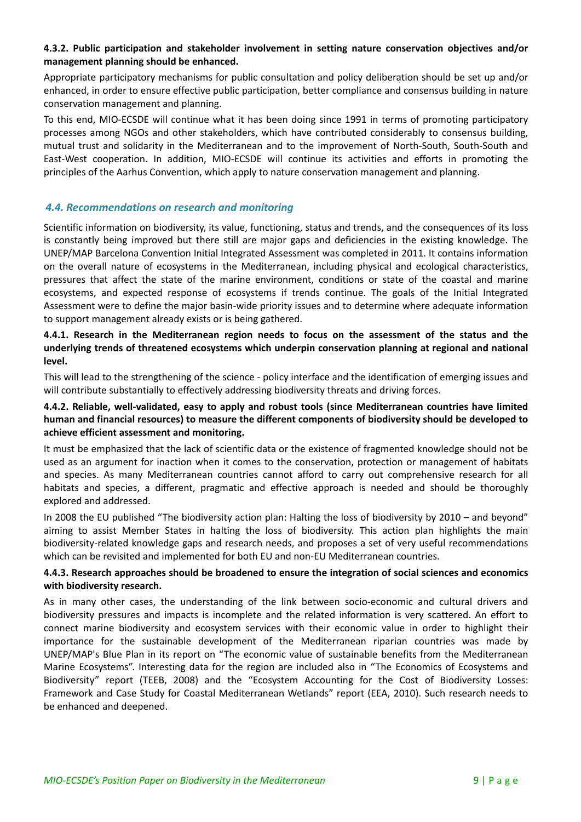## **4.3.2. Public participation and stakeholder involvement in setting nature conservation objectives and/or management planning should be enhanced.**

Appropriate participatory mechanisms for public consultation and policy deliberation should be set up and/or enhanced, in order to ensure effective public participation, better compliance and consensus building in nature conservation management and planning.

To this end, MIO‐ECSDE will continue what it has been doing since 1991 in terms of promoting participatory processes among NGOs and other stakeholders, which have contributed considerably to consensus building, mutual trust and solidarity in the Mediterranean and to the improvement of North‐South, South‐South and East‐West cooperation. In addition, MIO‐ECSDE will continue its activities and efforts in promoting the principles of the Aarhus Convention, which apply to nature conservation management and planning.

# *4.4. Recommendations on research and monitoring*

Scientific information on biodiversity, its value, functioning, status and trends, and the consequences of its loss is constantly being improved but there still are major gaps and deficiencies in the existing knowledge. The UNEP/MAP Barcelona Convention Initial Integrated Assessment was completed in 2011. It contains information on the overall nature of ecosystems in the Mediterranean, including physical and ecological characteristics, pressures that affect the state of the marine environment, conditions or state of the coastal and marine ecosystems, and expected response of ecosystems if trends continue. The goals of the Initial Integrated Assessment were to define the major basin‐wide priority issues and to determine where adequate information to support management already exists or is being gathered.

**4.4.1. Research in the Mediterranean region needs to focus on the assessment of the status and the underlying trends of threatened ecosystems which underpin conservation planning at regional and national level.**

This will lead to the strengthening of the science ‐ policy interface and the identification of emerging issues and will contribute substantially to effectively addressing biodiversity threats and driving forces.

## **4.4.2. Reliable, well‐validated, easy to apply and robust tools (since Mediterranean countries have limited human and financial resources) to measure the different components of biodiversity should be developed to achieve efficient assessment and monitoring.**

It must be emphasized that the lack of scientific data or the existence of fragmented knowledge should not be used as an argument for inaction when it comes to the conservation, protection or management of habitats and species. As many Mediterranean countries cannot afford to carry out comprehensive research for all habitats and species, a different, pragmatic and effective approach is needed and should be thoroughly explored and addressed.

In 2008 the EU published "The biodiversity action plan: Halting the loss of biodiversity by 2010 – and beyond" aiming to assist Member States in halting the loss of biodiversity. This action plan highlights the main biodiversity-related knowledge gaps and research needs, and proposes a set of very useful recommendations which can be revisited and implemented for both EU and non‐EU Mediterranean countries.

#### **4.4.3. Research approaches should be broadened to ensure the integration of social sciences and economics with biodiversity research.**

As in many other cases, the understanding of the link between socio-economic and cultural drivers and biodiversity pressures and impacts is incomplete and the related information is very scattered. An effort to connect marine biodiversity and ecosystem services with their economic value in order to highlight their importance for the sustainable development of the Mediterranean riparian countries was made by UNEP/MAP's Blue Plan in its report on "The economic value of sustainable benefits from the Mediterranean Marine Ecosystems". Interesting data for the region are included also in "The Economics of Ecosystems and Biodiversity" report (TEEB, 2008) and the "Ecosystem Accounting for the Cost of Biodiversity Losses: Framework and Case Study for Coastal Mediterranean Wetlands" report (EEA, 2010). Such research needs to be enhanced and deepened.